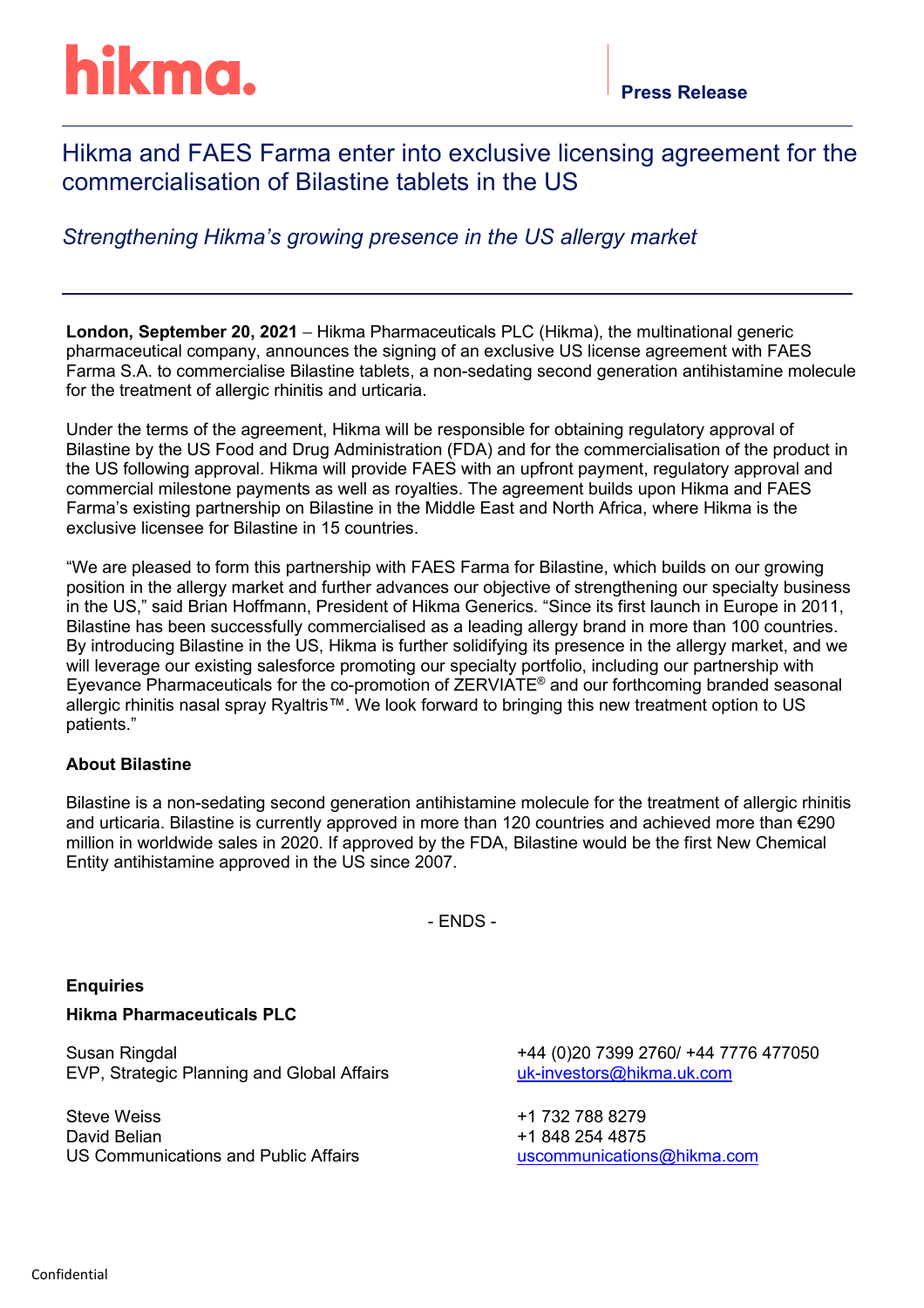# Hikma and FAES Farma enter into exclusive licensing agreement for the commercialisation of Bilastine tablets in the US

## *Strengthening Hikma's growing presence in the US allergy market*

**London, September 20, 2021** – Hikma Pharmaceuticals PLC (Hikma), the multinational generic pharmaceutical company, announces the signing of an exclusive US license agreement with FAES Farma S.A. to commercialise Bilastine tablets, a non-sedating second generation antihistamine molecule for the treatment of allergic rhinitis and urticaria.

Under the terms of the agreement, Hikma will be responsible for obtaining regulatory approval of Bilastine by the US Food and Drug Administration (FDA) and for the commercialisation of the product in the US following approval. Hikma will provide FAES with an upfront payment, regulatory approval and commercial milestone payments as well as royalties. The agreement builds upon Hikma and FAES Farma's existing partnership on Bilastine in the Middle East and North Africa, where Hikma is the exclusive licensee for Bilastine in 15 countries.

"We are pleased to form this partnership with FAES Farma for Bilastine, which builds on our growing position in the allergy market and further advances our objective of strengthening our specialty business in the US," said Brian Hoffmann, President of Hikma Generics. "Since its first launch in Europe in 2011, Bilastine has been successfully commercialised as a leading allergy brand in more than 100 countries. By introducing Bilastine in the US, Hikma is further solidifying its presence in the allergy market, and we will leverage our existing salesforce promoting our specialty portfolio, including our partnership with Eyevance Pharmaceuticals for the co-promotion of ZERVIATE® and our forthcoming branded seasonal allergic rhinitis nasal spray Ryaltris™. We look forward to bringing this new treatment option to US patients."

### **About Bilastine**

Bilastine is a non-sedating second generation antihistamine molecule for the treatment of allergic rhinitis and urticaria. Bilastine is currently approved in more than 120 countries and achieved more than €290 million in worldwide sales in 2020. If approved by the FDA, Bilastine would be the first New Chemical Entity antihistamine approved in the US since 2007.

- ENDS -

### **Enquiries**

#### **Hikma Pharmaceuticals PLC**

Susan Ringdal EVP, Strategic Planning and Global Affairs

Steve Weiss David Belian US Communications and Public Affairs +44 (0)20 7399 2760/ +44 7776 477050 [uk-investors@hikma.uk.com](mailto:uk-investors@hikma.uk.com)

+1 732 788 8279 +1 848 254 4875 [uscommunications@hikma.com](mailto:sweiss@hikma.com)